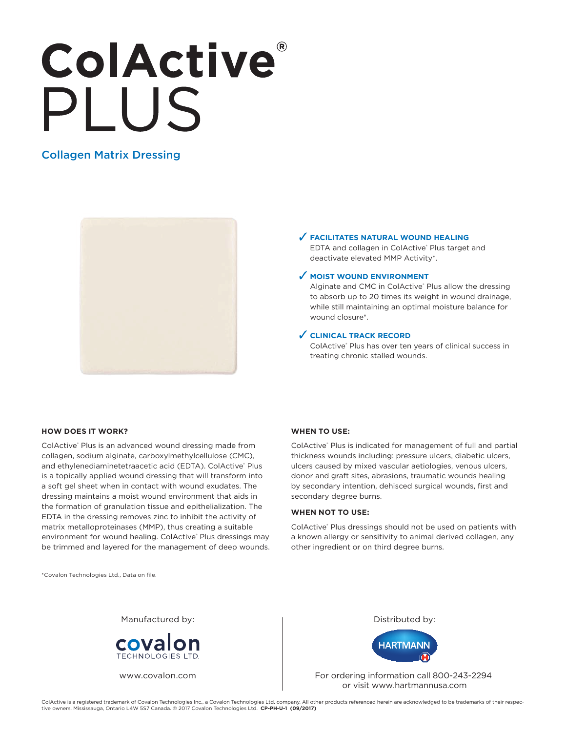# ColActive® PLUS

# Collagen Matrix Dressing



# **FACILITATES NATURAL WOUND HEALING**

EDTA and collagen in ColActive® Plus target and deactivate elevated MMP Activity\*.

#### **MOIST WOUND ENVIRONMENT**

Alginate and CMC in ColActive® Plus allow the dressing to absorb up to 20 times its weight in wound drainage, while still maintaining an optimal moisture balance for wound closure\*.

# **CLINICAL TRACK RECORD**

ColActive® Plus has over ten years of clinical success in treating chronic stalled wounds.

# **HOW DOES IT WORK?**

ColActive® Plus is an advanced wound dressing made from collagen, sodium alginate, carboxylmethylcellulose (CMC), and ethylenediaminetetraacetic acid (EDTA). ColActive® Plus is a topically applied wound dressing that will transform into a soft gel sheet when in contact with wound exudates. The dressing maintains a moist wound environment that aids in the formation of granulation tissue and epithelialization. The EDTA in the dressing removes zinc to inhibit the activity of matrix metalloproteinases (MMP), thus creating a suitable environment for wound healing. ColActive® Plus dressings may be trimmed and layered for the management of deep wounds.

\*Covalon Technologies Ltd., Data on file.

# **WHEN TO USE:**

ColActive<sup>®</sup> Plus is indicated for management of full and partial thickness wounds including: pressure ulcers, diabetic ulcers, ulcers caused by mixed vascular aetiologies, venous ulcers, donor and graft sites, abrasions, traumatic wounds healing by secondary intention, dehisced surgical wounds, first and secondary degree burns.

#### **WHEN NOT TO USE:**

ColActive® Plus dressings should not be used on patients with a known allergy or sensitivity to animal derived collagen, any other ingredient or on third degree burns.

Manufactured by:



www.covalon.com

Distributed by:



For ordering information call 800-243-2294 or visit www.hartmannusa.com

ColActive is a registered trademark of Covalon Technologies Inc., a Covalon Technologies Ltd. company. All other products referenced herein are acknowledged to be trademarks of their respective owners. Mississauga, Ontario L4W 5S7 Canada. © 2017 Covalon Technologies Ltd. **CP-PH-U-1 (09/2017)**